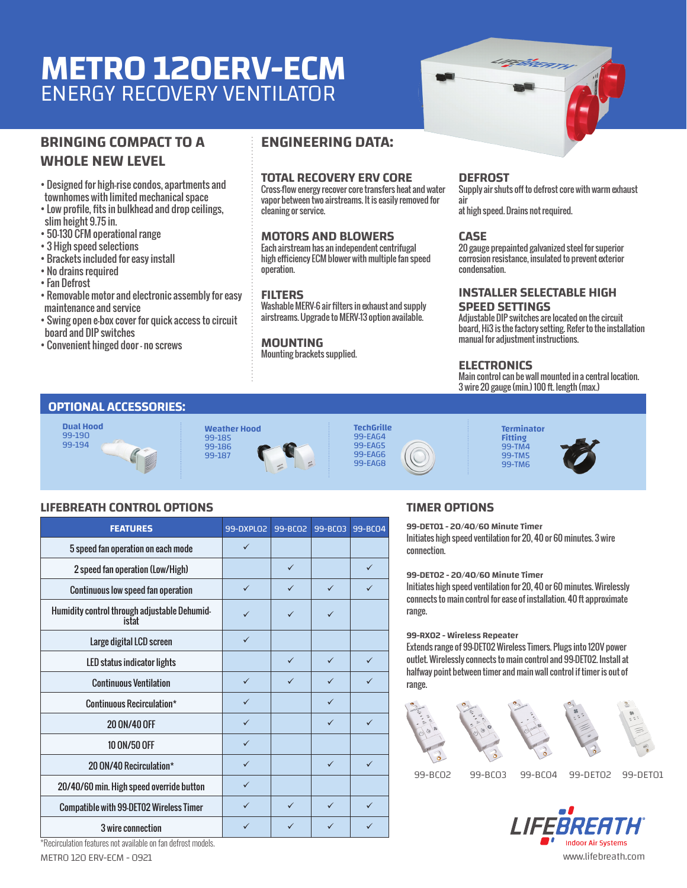# **METRO 120ERV-ECM** ENERGY RECOVERY VENTILATOR

# **BRINGING COMPACT TO A WHOLE NEW LEVEL**

• Designed for high-rise condos, apartments and townhomes with limited mechanical space

• Low profile, fits in bulkhead and drop ceilings, slim height 9.75 in.

- 50-130 CFM operational range
- 3 High speed selections
- Brackets included for easy install
- No drains required
- Fan Defrost
- Removable motor and electronic assembly for easy maintenance and service
- Swing open e-box cover for quick access to circuit board and DIP switches
- Convenient hinged door no screws

# **ENGINEERING DATA:**

## **TOTAL RECOVERY ERV CORE**

Cross-flow energy recover core transfers heat and water vapor between two airstreams. It is easily removed for cleaning or service.

## **MOTORS AND BLOWERS**

Each airstream has an independent centrifugal high efficiency ECM blower with multiple fan speed operation.

#### **FILTERS**

Washable MERV-6 air filters in exhaust and supply airstreams. Upgrade to MERV-13 option available.

#### **MOUNTING**

Mounting brackets supplied.

#### **DEFROST**

Supply air shuts off to defrost core with warm exhaust air

<u>r</u>etiken

at high speed. Drains not required.

#### **CASE**

20 gauge prepainted galvanized steel for superior corrosion resistance, insulated to prevent exterior condensation.

# **INSTALLER SELECTABLE HIGH**

## **SPEED SETTINGS**

Adjustable DIP switches are located on the circuit board, Hi3 is the factory setting. Refer to the installation manual for adjustment instructions.

#### **ELECTRONICS**

Main control can be wall mounted in a central location. 3 wire 20 gauge (min.) 100 ft. length (max.)

# **OPTIONAL ACCESSORIES:**



### **Weather Hood** 99-185 99-186 99-187









#### **LIFEBREATH CONTROL OPTIONS**

| <b>FEATURES</b>                                       | 99-DXPL02    | 99-BCO2      | 99-BC03      | 99-BCO4      |
|-------------------------------------------------------|--------------|--------------|--------------|--------------|
| 5 speed fan operation on each mode                    | $\checkmark$ |              |              |              |
| 2 speed fan operation (Low/High)                      |              | $\checkmark$ |              | $\checkmark$ |
| <b>Continuous low speed fan operation</b>             | $\checkmark$ | ✓            | $\checkmark$ |              |
| Humidity control through adjustable Dehumid-<br>istat | ✓            | ✓            | $\checkmark$ |              |
| Large digital LCD screen                              | $\checkmark$ |              |              |              |
| LED status indicator lights                           |              | $\checkmark$ | $\checkmark$ | $\checkmark$ |
| <b>Continuous Ventilation</b>                         | $\checkmark$ | ✓            | $\checkmark$ | $\checkmark$ |
| Continuous Recirculation*                             | $\checkmark$ |              | $\checkmark$ |              |
| 20 0N/40 OFF                                          | $\checkmark$ |              | $\checkmark$ | $\checkmark$ |
| 10 ON/50 OFF                                          | $\checkmark$ |              |              |              |
| 20 ON/40 Recirculation*                               | $\checkmark$ |              | $\checkmark$ | $\checkmark$ |
| 20/40/60 min. High speed override button              | $\checkmark$ |              |              |              |
| <b>Compatible with 99-DET02 Wireless Timer</b>        | $\checkmark$ | $\checkmark$ | $\checkmark$ | $\checkmark$ |
| 3 wire connection                                     | $\checkmark$ | ✓            | ✓            | ✓            |

## **TIMER OPTIONS**

**99-DET01 - 20/40/60 Minute Timer** Initiates high speed ventilation for 20, 40 or 60 minutes. 3 wire connection.

**Fitting**  99-TM4 99-TM5 99-TM6

**99-DET02 - 20/40/60 Minute Timer**

Initiates high speed ventilation for 20, 40 or 60 minutes. Wirelessly connects to main control for ease of installation. 40 ft approximate range.

#### **99-RX02 - Wireless Repeater**

Extends range of 99-DET02 Wireless Timers. Plugs into 120V power outlet. Wirelessly connects to main control and 99-DET02. Install at halfway point between timer and main wall control if timer is out of range.



99-BC02 99-BC03 99-BC04 99-DET02 99-DET01



\*Recirculation features not available on fan defrost models.